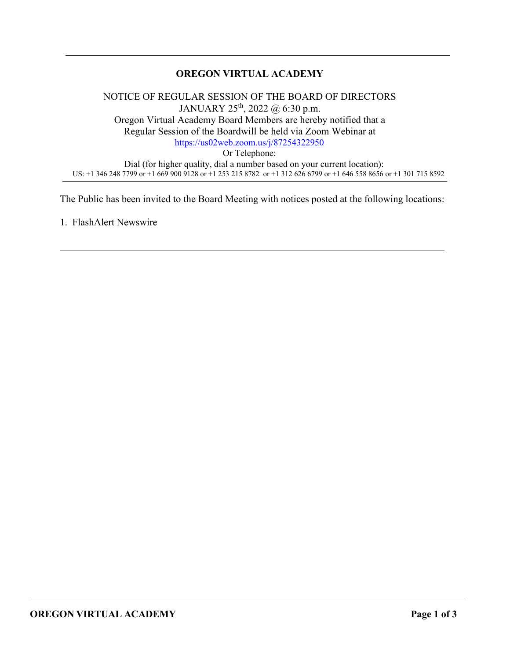## **OREGON VIRTUAL ACADEMY**

NOTICE OF REGULAR SESSION OF THE BOARD OF DIRECTORS JANUARY  $25^{th}$ ,  $2022 \text{ } @$  6:30 p.m. Oregon Virtual Academy Board Members are hereby notified that a Regular Session of the Boardwill be held via Zoom Webinar at <https://us02web.zoom.us/j/87254322950> Or Telephone: Dial (for higher quality, dial a number based on your current location): US: +1 346 248 7799 or +1 669 900 9128 or +1 253 215 8782 or +1 312 626 6799 or +1 646 558 8656 or +1 301 715 8592

The Public has been invited to the Board Meeting with notices posted at the following locations:

1. FlashAlert Newswire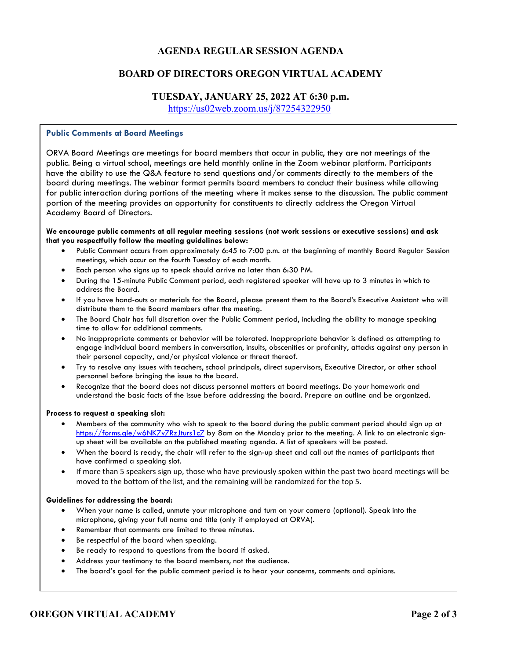### **AGENDA REGULAR SESSION AGENDA**

### **BOARD OF DIRECTORS OREGON VIRTUAL ACADEMY**

#### **TUESDAY, JANUARY 25, 2022 AT 6:30 p.m.**

<https://us02web.zoom.us/j/87254322950>

#### **Public Comments at Board Meetings**

ORVA Board Meetings are meetings for board members that occur in public, they are not meetings of the public. Being a virtual school, meetings are held monthly online in the Zoom webinar platform. Participants have the ability to use the Q&A feature to send questions and/or comments directly to the members of the board during meetings. The webinar format permits board members to conduct their business while allowing for public interaction during portions of the meeting where it makes sense to the discussion. The public comment portion of the meeting provides an opportunity for constituents to directly address the Oregon Virtual Academy Board of Directors.

#### **We encourage public comments at all regular meeting sessions (not work sessions or executive sessions) and ask that you respectfully follow the meeting guidelines below:**

- Public Comment occurs from approximately 6:45 to 7:00 p.m. at the beginning of monthly Board Regular Session meetings, which occur on the fourth Tuesday of each month.
- Each person who signs up to speak should arrive no later than 6:30 PM.
- During the 15-minute Public Comment period, each registered speaker will have up to 3 minutes in which to address the Board.
- If you have hand-outs or materials for the Board, please present them to the Board's Executive Assistant who will distribute them to the Board members after the meeting.
- The Board Chair has full discretion over the Public Comment period, including the ability to manage speaking time to allow for additional comments.
- No inappropriate comments or behavior will be tolerated. Inappropriate behavior is defined as attempting to engage individual board members in conversation, insults, obscenities or profanity, attacks against any person in their personal capacity, and/or physical violence or threat thereof.
- Try to resolve any issues with teachers, school principals, direct supervisors, Executive Director, or other school personnel before bringing the issue to the board.
- Recognize that the board does not discuss personnel matters at board meetings. Do your homework and understand the basic facts of the issue before addressing the board. Prepare an outline and be organized.

#### **Process to request a speaking slot:**

- Members of the community who wish to speak to the board during the public comment period should sign up at <https://forms.gle/w6NK7v7RzJturs1c7> by 8am on the Monday prior to the meeting. A link to an electronic signup sheet will be available on the published meeting agenda. A list of speakers will be posted.
- When the board is ready, the chair will refer to the sign-up sheet and call out the names of participants that have confirmed a speaking slot.
- If more than 5 speakers sign up, those who have previously spoken within the past two board meetings will be moved to the bottom of the list, and the remaining will be randomized for the top 5.

#### **Guidelines for addressing the board:**

- When your name is called, unmute your microphone and turn on your camera (optional). Speak into the microphone, giving your full name and title (only if employed at ORVA).
- Remember that comments are limited to three minutes.
- Be respectful of the board when speaking.
- Be ready to respond to questions from the board if asked.
- Address your testimony to the board members, not the audience.
- The board's goal for the public comment period is to hear your concerns, comments and opinions.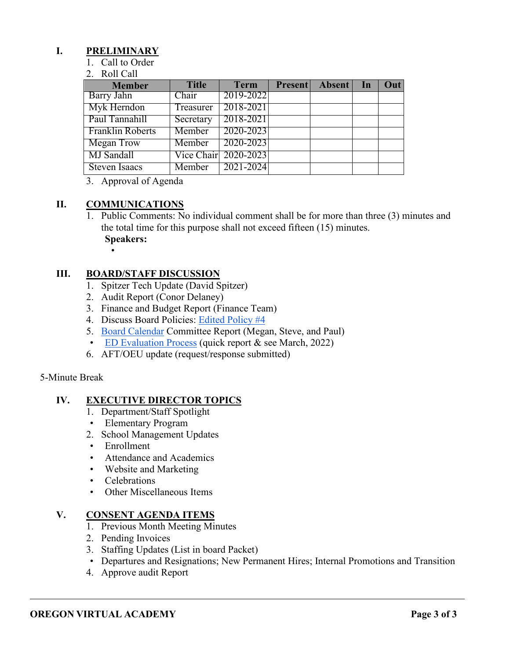## **I. PRELIMINARY**

- 1. Call to Order
- 2. Roll Call

| <b>Member</b>           | <b>Title</b> | <b>Term</b>          | Present Absent In | Out |
|-------------------------|--------------|----------------------|-------------------|-----|
| Barry Jahn              | Chair        | 2019-2022            |                   |     |
| Myk Herndon             | Treasurer    | 2018-2021            |                   |     |
| Paul Tannahill          | Secretary    | 2018-2021            |                   |     |
| <b>Franklin Roberts</b> | Member       | 2020-2023            |                   |     |
| Megan Trow              | Member       | 2020-2023            |                   |     |
| MJ Sandall              |              | Vice Chair 2020-2023 |                   |     |
| <b>Steven Isaacs</b>    | Member       | 2021-2024            |                   |     |

3. Approval of Agenda

## **II. COMMUNICATIONS**

- 1. Public Comments: No individual comment shall be for more than three (3) minutes and the total time for this purpose shall not exceed fifteen (15) minutes. **Speakers:**
	- •

## **III. BOARD/STAFF DISCUSSION**

- 1. Spitzer Tech Update (David Spitzer)
- 2. Audit Report (Conor Delaney)
- 3. Finance and Budget Report (Finance Team)
- 4. Discuss Board Policies: [Edited Policy #4](https://drive.google.com/drive/folders/1yuo7TJ8Cqu8QeWbzJ3OO4k5o-7rA07El?usp=sharing)
- 5. [Board Calendar](https://docs.google.com/document/d/1tVrSGJ6v5gCtv5NNlIoGCFS6zIGPmcuhm6aP9laESig/edit?usp=sharing) Committee Report (Megan, Steve, and Paul)
- [ED Evaluation Process](https://docs.google.com/document/d/1ikp_Pxa50FnVOA75dm8aKlSnsJ4t43ZG23FDPEgn2lY/edit?usp=sharing) (quick report & see March, 2022)
- 6. AFT/OEU update (request/response submitted)

### 5-Minute Break

## **IV. EXECUTIVE DIRECTOR TOPICS**

- 1. Department/Staff Spotlight
- Elementary Program
- 2. School Management Updates
- Enrollment
- Attendance and Academics
- Website and Marketing
- Celebrations
- Other Miscellaneous Items

### **V. CONSENT AGENDA ITEMS**

- 1. Previous Month Meeting Minutes
- 2. Pending Invoices
- 3. Staffing Updates (List in board Packet)
- Departures and Resignations; New Permanent Hires; Internal Promotions and Transition
- 4. Approve audit Report